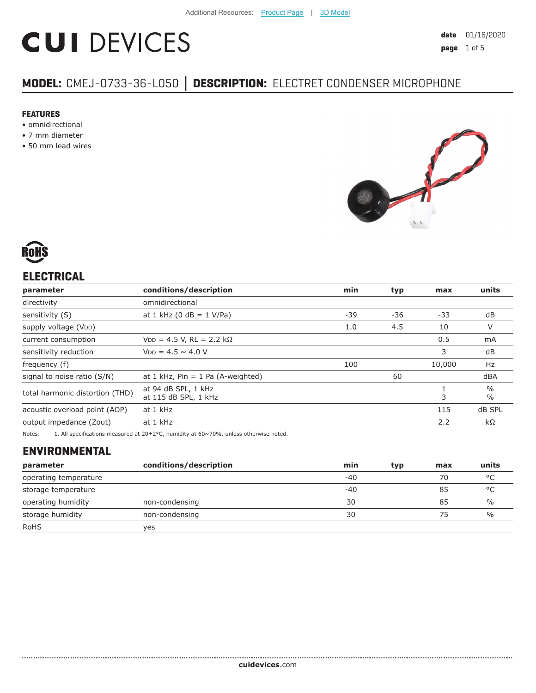# **CUI DEVICES**

# **MODEL:** CMEJ-0733-36-L050 **│ DESCRIPTION:** ELECTRET CONDENSER MICROPHONE

#### **FEATURES**

- omnidirectional
- 7 mm diameter
- 50 mm lead wires





# **ELECTRICAL**

| parameter                       | conditions/description                      | min | typ | max    | units                          |
|---------------------------------|---------------------------------------------|-----|-----|--------|--------------------------------|
| directivity                     | omnidirectional                             |     |     |        |                                |
| sensitivity (S)                 | at 1 kHz (0 dB = $1$ V/Pa)                  | -39 | -36 | -33    | dB                             |
| supply voltage (VDD)            |                                             | 1.0 | 4.5 | 10     | V                              |
| current consumption             | $V_{DD} = 4.5 V$ , RL = 2.2 kΩ              |     |     | 0.5    | mA                             |
| sensitivity reduction           | $V_{DD} = 4.5 \sim 4.0 V$                   |     |     | 3      | dB                             |
| frequency (f)                   |                                             | 100 |     | 10,000 | Hz                             |
| signal to noise ratio (S/N)     | at 1 kHz, $Pin = 1$ Pa (A-weighted)         |     | 60  |        | dBA                            |
| total harmonic distortion (THD) | at 94 dB SPL, 1 kHz<br>at 115 dB SPL, 1 kHz |     |     | 3      | $\frac{0}{0}$<br>$\frac{0}{0}$ |
| acoustic overload point (AOP)   | at 1 kHz                                    |     |     | 115    | dB SPL                         |
| output impedance (Zout)         | at 1 kHz                                    |     |     | 2.2    | $k\Omega$                      |
|                                 |                                             |     |     |        |                                |

Notes: 1. All specifications measured at 20±2°C, humidity at 60~70%, unless otherwise noted.

# **ENVIRONMENTAL**

| parameter             | conditions/description | min   | typ | max | units         |
|-----------------------|------------------------|-------|-----|-----|---------------|
| operating temperature |                        | $-40$ |     | 70  | $\circ$       |
| storage temperature   |                        | $-40$ |     | 85  | °C            |
| operating humidity    | non-condensing         | 30    |     | 85  | $\frac{0}{0}$ |
| storage humidity      | non-condensing         | 30    |     | 75  | $\%$          |
| <b>RoHS</b>           | yes                    |       |     |     |               |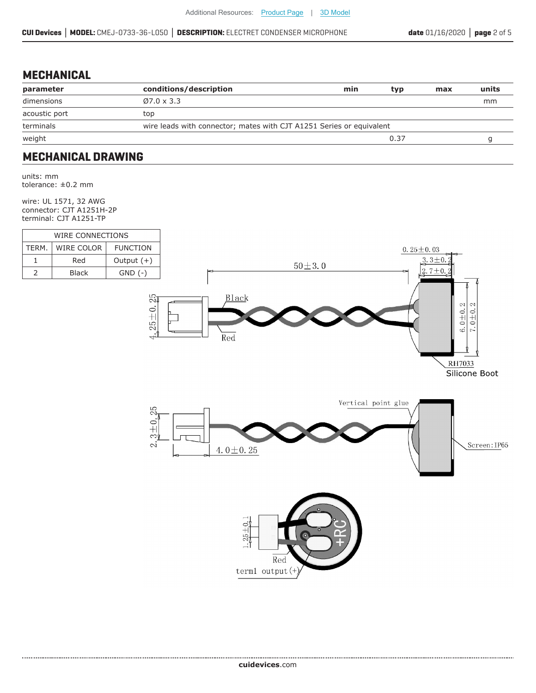#### **MECHANICAL**

| parameter     | conditions/description                                               | min | typ  | max | units |
|---------------|----------------------------------------------------------------------|-----|------|-----|-------|
| dimensions    | $Ø7.0 \times 3.3$                                                    |     |      |     | mm    |
| acoustic port | top                                                                  |     |      |     |       |
| terminals     | wire leads with connector; mates with CJT A1251 Series or equivalent |     |      |     |       |
| weight        |                                                                      |     | 0.37 |     |       |
|               |                                                                      |     |      |     |       |

#### **MECHANICAL DRAWING**

units: mm tolerance: ±0.2 mm

wire: UL 1571, 32 AWG connector: CJT A1251H-2P terminal: CJT A1251-TP

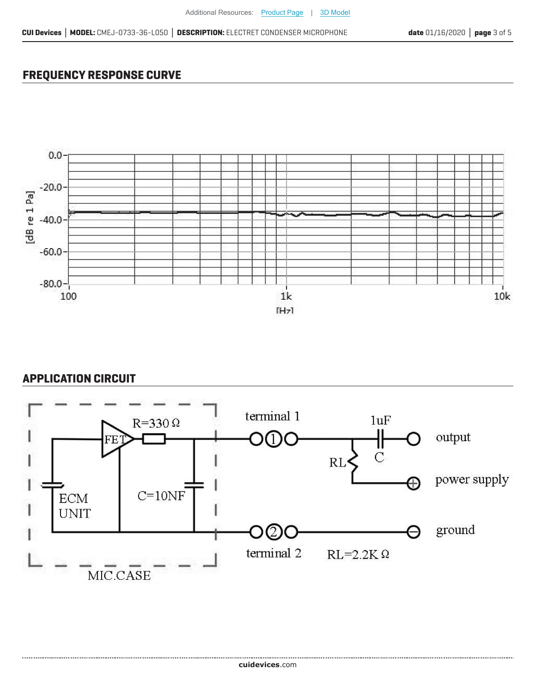## **FREQUENCY RESPONSE CURVE**



### **APPLICATION CIRCUIT**

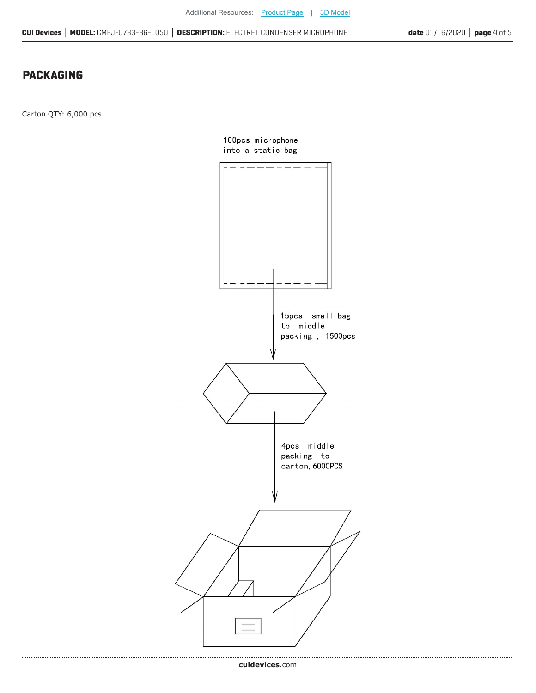#### **PACKAGING**

Carton QTY: 6,000 pcs